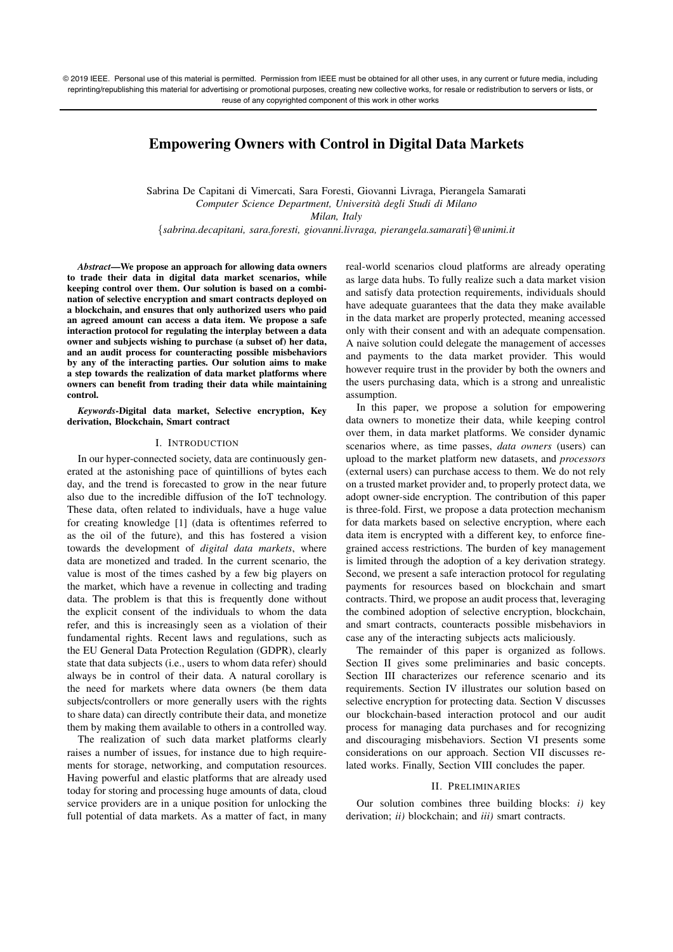# **Empowering Owners with Control in Digital Data Markets**

Sabrina De Capitani di Vimercati, Sara Foresti, Giovanni Livraga, Pierangela Samarati *Computer Science Department, Universita degli Studi di Milano `*

*Milan, Italy*

{*sabrina.decapitani, sara.foresti, giovanni.livraga, pierangela.samarati*}*@unimi.it*

*Abstract***—We propose an approach for allowing data owners to trade their data in digital data market scenarios, while keeping control over them. Our solution is based on a combination of selective encryption and smart contracts deployed on a blockchain, and ensures that only authorized users who paid an agreed amount can access a data item. We propose a safe interaction protocol for regulating the interplay between a data owner and subjects wishing to purchase (a subset of) her data, and an audit process for counteracting possible misbehaviors by any of the interacting parties. Our solution aims to make a step towards the realization of data market platforms where owners can benefit from trading their data while maintaining control.**

*Keywords***-Digital data market, Selective encryption, Key derivation, Blockchain, Smart contract**

## I. INTRODUCTION

In our hyper-connected society, data are continuously generated at the astonishing pace of quintillions of bytes each day, and the trend is forecasted to grow in the near future also due to the incredible diffusion of the IoT technology. These data, often related to individuals, have a huge value for creating knowledge [1] (data is oftentimes referred to as the oil of the future), and this has fostered a vision towards the development of *digital data markets*, where data are monetized and traded. In the current scenario, the value is most of the times cashed by a few big players on the market, which have a revenue in collecting and trading data. The problem is that this is frequently done without the explicit consent of the individuals to whom the data refer, and this is increasingly seen as a violation of their fundamental rights. Recent laws and regulations, such as the EU General Data Protection Regulation (GDPR), clearly state that data subjects (i.e., users to whom data refer) should always be in control of their data. A natural corollary is the need for markets where data owners (be them data subjects/controllers or more generally users with the rights to share data) can directly contribute their data, and monetize them by making them available to others in a controlled way.

The realization of such data market platforms clearly raises a number of issues, for instance due to high requirements for storage, networking, and computation resources. Having powerful and elastic platforms that are already used today for storing and processing huge amounts of data, cloud service providers are in a unique position for unlocking the full potential of data markets. As a matter of fact, in many real-world scenarios cloud platforms are already operating as large data hubs. To fully realize such a data market vision and satisfy data protection requirements, individuals should have adequate guarantees that the data they make available in the data market are properly protected, meaning accessed only with their consent and with an adequate compensation. A naive solution could delegate the management of accesses and payments to the data market provider. This would however require trust in the provider by both the owners and the users purchasing data, which is a strong and unrealistic assumption.

In this paper, we propose a solution for empowering data owners to monetize their data, while keeping control over them, in data market platforms. We consider dynamic scenarios where, as time passes, *data owners* (users) can upload to the market platform new datasets, and *processors* (external users) can purchase access to them. We do not rely on a trusted market provider and, to properly protect data, we adopt owner-side encryption. The contribution of this paper is three-fold. First, we propose a data protection mechanism for data markets based on selective encryption, where each data item is encrypted with a different key, to enforce finegrained access restrictions. The burden of key management is limited through the adoption of a key derivation strategy. Second, we present a safe interaction protocol for regulating payments for resources based on blockchain and smart contracts. Third, we propose an audit process that, leveraging the combined adoption of selective encryption, blockchain, and smart contracts, counteracts possible misbehaviors in case any of the interacting subjects acts maliciously.

The remainder of this paper is organized as follows. Section II gives some preliminaries and basic concepts. Section III characterizes our reference scenario and its requirements. Section IV illustrates our solution based on selective encryption for protecting data. Section V discusses our blockchain-based interaction protocol and our audit process for managing data purchases and for recognizing and discouraging misbehaviors. Section VI presents some considerations on our approach. Section VII discusses related works. Finally, Section VIII concludes the paper.

## II. PRELIMINARIES

Our solution combines three building blocks: *i)* key derivation; *ii)* blockchain; and *iii)* smart contracts.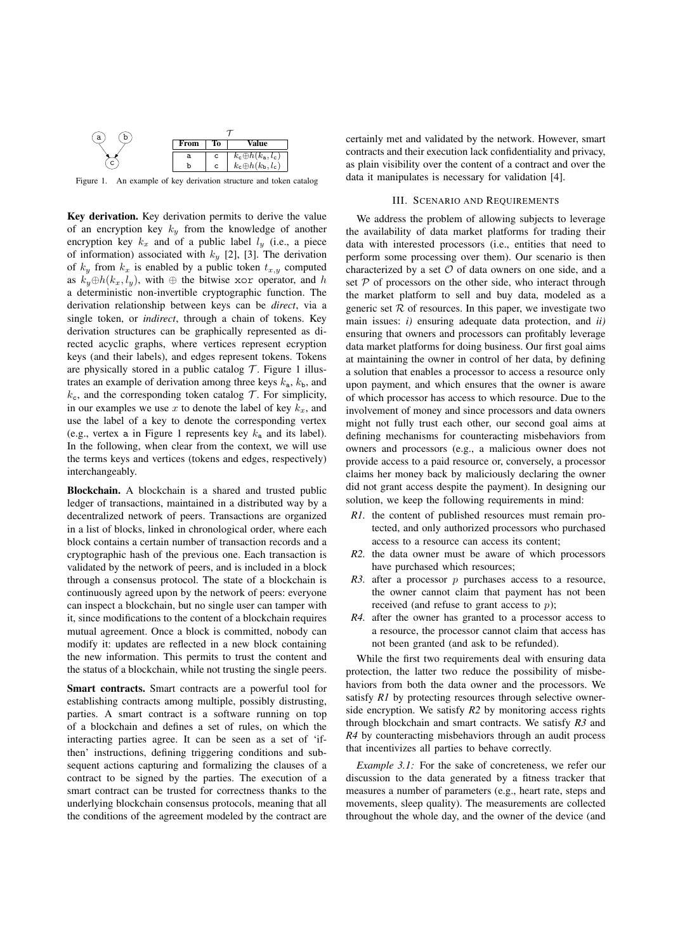

Figure 1. An example of key derivation structure and token catalog

**Key derivation.** Key derivation permits to derive the value of an encryption key  $k_y$  from the knowledge of another encryption key  $k_x$  and of a public label  $l_y$  (i.e., a piece of information) associated with  $k_y$  [2], [3]. The derivation of  $k_y$  from  $k_x$  is enabled by a public token  $t_{x,y}$  computed as  $k_y \oplus h(k_x, l_y)$ , with  $\oplus$  the bitwise xor operator, and h a deterministic non-invertible cryptographic function. The derivation relationship between keys can be *direct*, via a single token, or *indirect*, through a chain of tokens. Key derivation structures can be graphically represented as directed acyclic graphs, where vertices represent ecryption keys (and their labels), and edges represent tokens. Tokens are physically stored in a public catalog  $\mathcal T$ . Figure 1 illustrates an example of derivation among three keys  $k_a$ ,  $k_b$ , and  $k_c$ , and the corresponding token catalog  $\mathcal T$ . For simplicity, in our examples we use x to denote the label of key  $k_x$ , and use the label of a key to denote the corresponding vertex (e.g., vertex a in Figure 1 represents key  $k_a$  and its label). In the following, when clear from the context, we will use the terms keys and vertices (tokens and edges, respectively) interchangeably.

**Blockchain.** A blockchain is a shared and trusted public ledger of transactions, maintained in a distributed way by a decentralized network of peers. Transactions are organized in a list of blocks, linked in chronological order, where each block contains a certain number of transaction records and a cryptographic hash of the previous one. Each transaction is validated by the network of peers, and is included in a block through a consensus protocol. The state of a blockchain is continuously agreed upon by the network of peers: everyone can inspect a blockchain, but no single user can tamper with it, since modifications to the content of a blockchain requires mutual agreement. Once a block is committed, nobody can modify it: updates are reflected in a new block containing the new information. This permits to trust the content and the status of a blockchain, while not trusting the single peers.

**Smart contracts.** Smart contracts are a powerful tool for establishing contracts among multiple, possibly distrusting, parties. A smart contract is a software running on top of a blockchain and defines a set of rules, on which the interacting parties agree. It can be seen as a set of 'ifthen' instructions, defining triggering conditions and subsequent actions capturing and formalizing the clauses of a contract to be signed by the parties. The execution of a smart contract can be trusted for correctness thanks to the underlying blockchain consensus protocols, meaning that all the conditions of the agreement modeled by the contract are certainly met and validated by the network. However, smart contracts and their execution lack confidentiality and privacy, as plain visibility over the content of a contract and over the data it manipulates is necessary for validation [4].

## III. SCENARIO AND REQUIREMENTS

We address the problem of allowing subjects to leverage the availability of data market platforms for trading their data with interested processors (i.e., entities that need to perform some processing over them). Our scenario is then characterized by a set  $\mathcal O$  of data owners on one side, and a set  $P$  of processors on the other side, who interact through the market platform to sell and buy data, modeled as a generic set  $R$  of resources. In this paper, we investigate two main issues: *i)* ensuring adequate data protection, and *ii)* ensuring that owners and processors can profitably leverage data market platforms for doing business. Our first goal aims at maintaining the owner in control of her data, by defining a solution that enables a processor to access a resource only upon payment, and which ensures that the owner is aware of which processor has access to which resource. Due to the involvement of money and since processors and data owners might not fully trust each other, our second goal aims at defining mechanisms for counteracting misbehaviors from owners and processors (e.g., a malicious owner does not provide access to a paid resource or, conversely, a processor claims her money back by maliciously declaring the owner did not grant access despite the payment). In designing our solution, we keep the following requirements in mind:

- *R1.* the content of published resources must remain protected, and only authorized processors who purchased access to a resource can access its content;
- *R2.* the data owner must be aware of which processors have purchased which resources;
- $R3.$  after a processor  $p$  purchases access to a resource, the owner cannot claim that payment has not been received (and refuse to grant access to  $p$ );
- *R4.* after the owner has granted to a processor access to a resource, the processor cannot claim that access has not been granted (and ask to be refunded).

While the first two requirements deal with ensuring data protection, the latter two reduce the possibility of misbehaviors from both the data owner and the processors. We satisfy *R1* by protecting resources through selective ownerside encryption. We satisfy *R2* by monitoring access rights through blockchain and smart contracts. We satisfy *R3* and *R4* by counteracting misbehaviors through an audit process that incentivizes all parties to behave correctly.

*Example 3.1:* For the sake of concreteness, we refer our discussion to the data generated by a fitness tracker that measures a number of parameters (e.g., heart rate, steps and movements, sleep quality). The measurements are collected throughout the whole day, and the owner of the device (and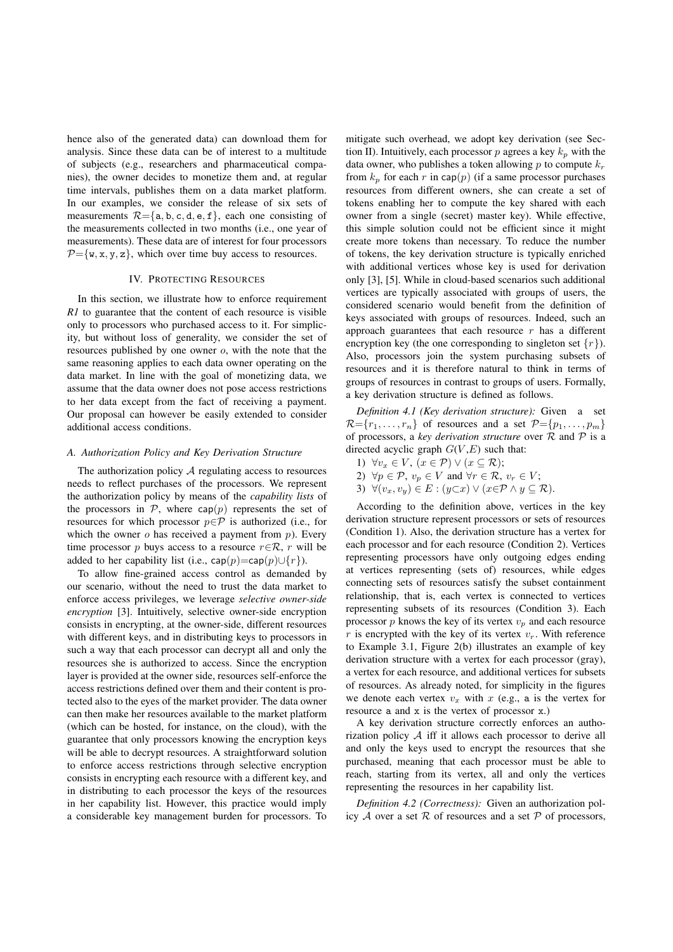hence also of the generated data) can download them for analysis. Since these data can be of interest to a multitude of subjects (e.g., researchers and pharmaceutical companies), the owner decides to monetize them and, at regular time intervals, publishes them on a data market platform. In our examples, we consider the release of six sets of measurements  $\mathcal{R} = \{a, b, c, d, e, f\}$ , each one consisting of the measurements collected in two months (i.e., one year of measurements). These data are of interest for four processors  $P = \{w, x, y, z\}$ , which over time buy access to resources.

## IV. PROTECTING RESOURCES

In this section, we illustrate how to enforce requirement *R1* to guarantee that the content of each resource is visible only to processors who purchased access to it. For simplicity, but without loss of generality, we consider the set of resources published by one owner  $o$ , with the note that the same reasoning applies to each data owner operating on the data market. In line with the goal of monetizing data, we assume that the data owner does not pose access restrictions to her data except from the fact of receiving a payment. Our proposal can however be easily extended to consider additional access conditions.

## *A. Authorization Policy and Key Derivation Structure*

The authorization policy  $A$  regulating access to resources needs to reflect purchases of the processors. We represent the authorization policy by means of the *capability lists* of the processors in  $P$ , where cap(p) represents the set of resources for which processor  $p \in \mathcal{P}$  is authorized (i.e., for which the owner  $\sigma$  has received a payment from  $p$ ). Every time processor p buys access to a resource  $r \in \mathcal{R}$ , r will be added to her capability list (i.e., cap(p)=cap(p)∪{r}).

To allow fine-grained access control as demanded by our scenario, without the need to trust the data market to enforce access privileges, we leverage *selective owner-side encryption* [3]. Intuitively, selective owner-side encryption consists in encrypting, at the owner-side, different resources with different keys, and in distributing keys to processors in such a way that each processor can decrypt all and only the resources she is authorized to access. Since the encryption layer is provided at the owner side, resources self-enforce the access restrictions defined over them and their content is protected also to the eyes of the market provider. The data owner can then make her resources available to the market platform (which can be hosted, for instance, on the cloud), with the guarantee that only processors knowing the encryption keys will be able to decrypt resources. A straightforward solution to enforce access restrictions through selective encryption consists in encrypting each resource with a different key, and in distributing to each processor the keys of the resources in her capability list. However, this practice would imply a considerable key management burden for processors. To mitigate such overhead, we adopt key derivation (see Section II). Intuitively, each processor  $p$  agrees a key  $k_p$  with the data owner, who publishes a token allowing  $p$  to compute  $k_r$ from  $k_p$  for each r in cap(p) (if a same processor purchases resources from different owners, she can create a set of tokens enabling her to compute the key shared with each owner from a single (secret) master key). While effective, this simple solution could not be efficient since it might create more tokens than necessary. To reduce the number of tokens, the key derivation structure is typically enriched with additional vertices whose key is used for derivation only [3], [5]. While in cloud-based scenarios such additional vertices are typically associated with groups of users, the considered scenario would benefit from the definition of keys associated with groups of resources. Indeed, such an approach guarantees that each resource  $r$  has a different encryption key (the one corresponding to singleton set  $\{r\}$ ). Also, processors join the system purchasing subsets of resources and it is therefore natural to think in terms of groups of resources in contrast to groups of users. Formally, a key derivation structure is defined as follows.

*Definition 4.1 (Key derivation structure):* Given a set  $\mathcal{R} = \{r_1, \ldots, r_n\}$  of resources and a set  $\mathcal{P} = \{p_1, \ldots, p_m\}$ of processors, a *key derivation structure* over  $R$  and  $P$  is a directed acyclic graph  $G(V,E)$  such that:

- 1)  $\forall v_x \in V, (x \in \mathcal{P}) \vee (x \subseteq \mathcal{R});$
- 2)  $\forall p \in \mathcal{P}, v_p \in V$  and  $\forall r \in \mathcal{R}, v_r \in V$ ;
- 3)  $\forall (v_x, v_y) \in E : (y \subset x) \vee (x \in \mathcal{P} \wedge y \subseteq \mathcal{R}).$

According to the definition above, vertices in the key derivation structure represent processors or sets of resources (Condition 1). Also, the derivation structure has a vertex for each processor and for each resource (Condition 2). Vertices representing processors have only outgoing edges ending at vertices representing (sets of) resources, while edges connecting sets of resources satisfy the subset containment relationship, that is, each vertex is connected to vertices representing subsets of its resources (Condition 3). Each processor  $p$  knows the key of its vertex  $v_p$  and each resource r is encrypted with the key of its vertex  $v_r$ . With reference to Example 3.1, Figure 2(b) illustrates an example of key derivation structure with a vertex for each processor (gray), a vertex for each resource, and additional vertices for subsets of resources. As already noted, for simplicity in the figures we denote each vertex  $v_x$  with  $x$  (e.g., a is the vertex for resource a and x is the vertex of processor x.)

A key derivation structure correctly enforces an authorization policy  $A$  iff it allows each processor to derive all and only the keys used to encrypt the resources that she purchased, meaning that each processor must be able to reach, starting from its vertex, all and only the vertices representing the resources in her capability list.

*Definition 4.2 (Correctness):* Given an authorization policy  $A$  over a set  $R$  of resources and a set  $P$  of processors,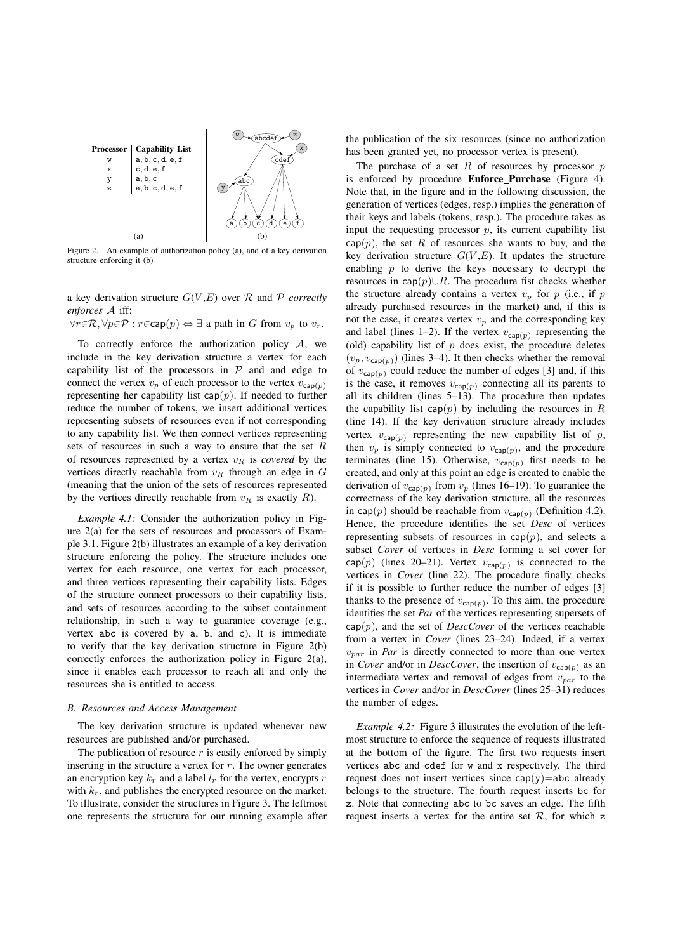

Figure 2. An example of authorization policy (a), and of a key derivation structure enforcing it (b)

a key derivation structure  $G(V, E)$  over  $R$  and  $P$  *correctly enforces* A iff:

 $\forall r \in \mathcal{R}, \forall p \in \mathcal{P} : r \in \text{cap}(p) \Leftrightarrow \exists$  a path in G from  $v_p$  to  $v_r$ .

To correctly enforce the authorization policy  $A$ , we include in the key derivation structure a vertex for each capability list of the processors in  $P$  and and edge to connect the vertex  $v_p$  of each processor to the vertex  $v_{cap}(p)$ representing her capability list  $cap(p)$ . If needed to further reduce the number of tokens, we insert additional vertices representing subsets of resources even if not corresponding to any capability list. We then connect vertices representing sets of resources in such a way to ensure that the set  $R$ of resources represented by a vertex  $v_R$  is *covered* by the vertices directly reachable from  $v_R$  through an edge in  $G$ (meaning that the union of the sets of resources represented by the vertices directly reachable from  $v_R$  is exactly  $R$ ).

*Example 4.1:* Consider the authorization policy in Figure 2(a) for the sets of resources and processors of Example 3.1. Figure 2(b) illustrates an example of a key derivation structure enforcing the policy. The structure includes one vertex for each resource, one vertex for each processor, and three vertices representing their capability lists. Edges of the structure connect processors to their capability lists, and sets of resources according to the subset containment relationship, in such a way to guarantee coverage (e.g., vertex abc is covered by a, b, and c). It is immediate to verify that the key derivation structure in Figure 2(b) correctly enforces the authorization policy in Figure 2(a), since it enables each processor to reach all and only the resources she is entitled to access.

#### *B. Resources and Access Management*

The key derivation structure is updated whenever new resources are published and/or purchased.

The publication of resource  $r$  is easily enforced by simply inserting in the structure a vertex for  $r$ . The owner generates an encryption key  $k_r$  and a label  $l_r$  for the vertex, encrypts r with  $k_r$ , and publishes the encrypted resource on the market. To illustrate, consider the structures in Figure 3. The leftmost one represents the structure for our running example after

the publication of the six resources (since no authorization has been granted yet, no processor vertex is present).

The purchase of a set  $R$  of resources by processor  $p$ is enforced by procedure **Enforce Purchase** (Figure 4). Note that, in the figure and in the following discussion, the generation of vertices (edges, resp.) implies the generation of their keys and labels (tokens, resp.). The procedure takes as input the requesting processor  $p$ , its current capability list  $cap(p)$ , the set R of resources she wants to buy, and the key derivation structure  $G(V,E)$ . It updates the structure enabling  $p$  to derive the keys necessary to decrypt the resources in cap $(p)$ ∪R. The procedure fist checks whether the structure already contains a vertex  $v_p$  for  $p$  (i.e., if  $p$ already purchased resources in the market) and, if this is not the case, it creates vertex  $v_n$  and the corresponding key and label (lines 1–2). If the vertex  $v_{\text{cap}(p)}$  representing the (old) capability list of  $p$  does exist, the procedure deletes  $(v_p, v_{\text{cap}(p)})$  (lines 3–4). It then checks whether the removal of  $v_{\text{cap}(p)}$  could reduce the number of edges [3] and, if this is the case, it removes  $v_{\text{cap}(p)}$  connecting all its parents to all its children (lines 5–13). The procedure then updates the capability list cap( $p$ ) by including the resources in  $R$ (line 14). If the key derivation structure already includes vertex  $v_{\text{cap}(p)}$  representing the new capability list of p, then  $v_p$  is simply connected to  $v_{cap(p)}$ , and the procedure terminates (line 15). Otherwise,  $v_{\text{cap}(p)}$  first needs to be created, and only at this point an edge is created to enable the derivation of  $v_{\text{cap}(p)}$  from  $v_p$  (lines 16–19). To guarantee the correctness of the key derivation structure, all the resources in cap( $p$ ) should be reachable from  $v_{\text{cap}(p)}$  (Definition 4.2). Hence, the procedure identifies the set *Desc* of vertices representing subsets of resources in  $cap(p)$ , and selects a subset *Cover* of vertices in *Desc* forming a set cover for cap(p) (lines 20–21). Vertex  $v_{\text{cap}(p)}$  is connected to the vertices in *Cover* (line 22). The procedure finally checks if it is possible to further reduce the number of edges [3] thanks to the presence of  $v_{\text{cap}(p)}$ . To this aim, the procedure identifies the set *Par* of the vertices representing supersets of  $cap(p)$ , and the set of *DescCover* of the vertices reachable from a vertex in *Cover* (lines 23–24). Indeed, if a vertex  $v_{\text{nar}}$  in *Par* is directly connected to more than one vertex in *Cover* and/or in *DescCover*, the insertion of  $v_{cap(p)}$  as an intermediate vertex and removal of edges from  $v_{par}$  to the vertices in *Cover* and/or in *DescCover* (lines 25–31) reduces the number of edges.

*Example 4.2:* Figure 3 illustrates the evolution of the leftmost structure to enforce the sequence of requests illustrated at the bottom of the figure. The first two requests insert vertices abc and cdef for w and x respectively. The third request does not insert vertices since  $cap(y)=abc$  already belongs to the structure. The fourth request inserts bc for z. Note that connecting abc to bc saves an edge. The fifth request inserts a vertex for the entire set  $R$ , for which z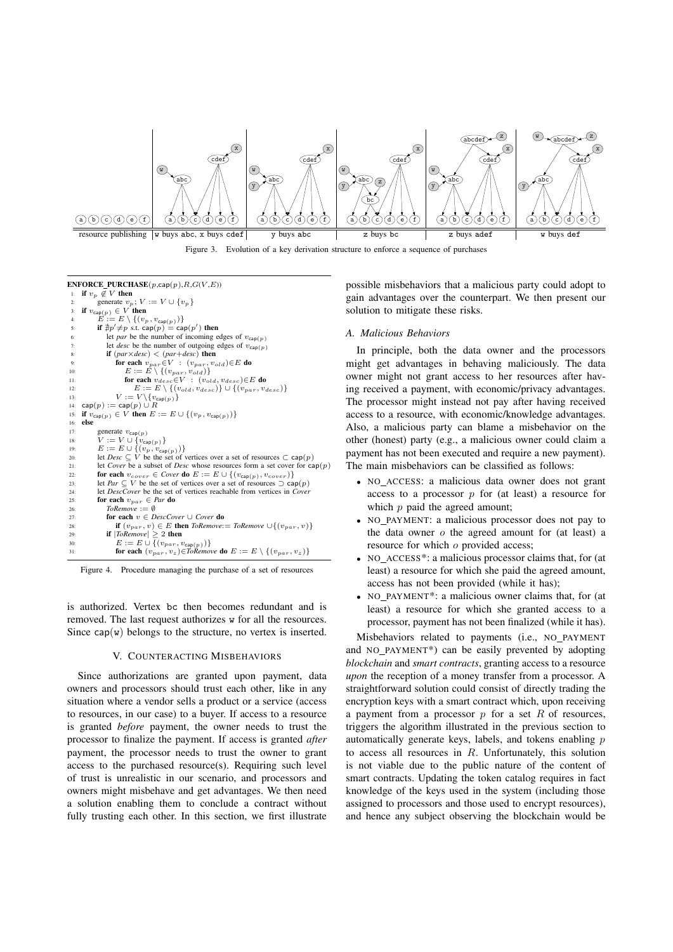

Figure 3. Evolution of a key derivation structure to enforce a sequence of purchases

 $\mathbf{ENFORCE\_PURCHASE}(p,\mathsf{cap}(p),R,G(V,E))$ if  $v_p \notin V$  then generate  $v_p$ ;  $V := V \cup \{v_p\}$  $\mathbf{if} \ v_{\mathsf{cap}(p)} \in V$  then 4:  $E := E \setminus \{(v_p, v_{cap(p)})\}$ <br>5: **if**  $\sharp p' \neq p$  s.t. cap( $p$ ) = cap( $p'$ ) then Figure 1. Figure 1. Figure 1. Figure 1. Figure 1. Figure 1. Figure 1. Figure 1. Figure 1. Figure 1. Figure 1. Figure 1. Figure 1. Figure 1. Figure 1. Figure 1. Figure 1. Figure 1. Figure 1. Figure 1. Figure 1. Figure 1. F 1:  $P$ <sup>11</sup>  $\mu$ <sup>11</sup>  $\mu$ <sup>11</sup>  $\mu$ <sup>1</sup>  $\textbf{if}$  ( $par \times desc$ ) < ( $par + desc$ ) then 9: **for each**  $v_{par} \in V : (v_{par}, v_{old}) \in E$  do<br>
10:  $E := E \setminus \{(v_{par}, v_{old})\}$ <br> **for each**  $v_{desc} \in V : (v_{old}, v_{desc}) \in E$  do 12:  $E := E \setminus \{(v_{old}, v_{desc})\} \cup \{(v_{par}, v_{desc})\}$ <br>
13:  $V := V \setminus \{v_{con} \setminus \}$ 12.<br>
13:  $V := V \setminus \{v_{\text{cap}(p)}\}$ <br>
14:  $\text{cap}(n) := \text{cap}(n) \cup R$ 14:  $\text{cap}(p) := \text{cap}(p) \cup R$ <br>15: if  $v_{\text{test}(p)} \in V$  then  $E$ 15: **if**  $v_{\text{cap}(p)} \in V$  **then**  $E := E \cup \{(v_p, v_{\text{cap}(p)})\}$ <br>16: **else** 16: **else** 17: generate  $v_{\text{cap}(p)}$ <br>18:  $V := V \cup \{v_{\text{cap}(p)}\}$ 18:  $V := V \cup \{v_{cap(p)}\}$ <br>
19:  $E := E \cup \{(v_p, v_{cap(p)})\}$ <br>
20: let *Desc* ⊆ *V* be the set of vertices over a set of resources ⊂ cap(*p*) 21: let *Cover* be a subset of *Desc* whose resources form a set cover for cap(p)<br>22: **for each**  $v_{cover} \in Cover$  **do**  $E := E \cup \{(v_{can(n)}, v_{cover})\}$ 22: **for each**  $v_{cover} \in Cover$  **do**  $E := E \cup \{(v_{cap(p)}, v_{cover})\}$ <br>23: let  $Par \subset V$  be the set of vertices over a set of resources  $\supset$  ca 23: let *Par* ⊆ *V* be the set of vertices over a set of resources  $\supset$  cap(*p*)<br>24: let *DescCover* be the set of vertices reachable from vertices in *Cover* 24: let *DescCover* be the set of vertices reachable from vertices in *Cover*<br>25: **for each**  $v_{nar} \in Par$  **do** 25: **for each**  $v_{par} \in Par$  **do**<br>26: *ToRemove* :=  $\emptyset$ 26:  $ToRemove := \emptyset$ <br>27: **for each**  $v \in D$ 27: **for each**  $v \in DescCover \cup Cover$  **do**<br>28: **if**  $(v_{mean}, v) \in E$  **then** *ToRemove*: 28: **if**  $(v_{par}, v) \in E$  **then**  $ToRemove := ToRemove \cup \{(v_{par}, v)\}$ <br>29: **if**  $ToRemove > 2$  **then** 29: **if**  $|ToRemove| \geq 2$  **then**<br>30:  $E := E \cup \{(v_{near}, v_{ear})\}$ 30:  $E := E \cup \{(v_{par}, v_{cap(p)})\}$ <br>31: **for each**  $(v_{par}, v_z) \in \mathit{ToRemove}$  **do**  $E := E \setminus \{(v_{par}, v_z)\}$ 

Figure 4. Procedure managing the purchase of a set of resources

is authorized. Vertex bc then becomes redundant and is removed. The last request authorizes w for all the resources. Since  $cap(w)$  belongs to the structure, no vertex is inserted.

## V. COUNTERACTING MISBEHAVIORS

Since authorizations are granted upon payment, data owners and processors should trust each other, like in any situation where a vendor sells a product or a service (access to resources, in our case) to a buyer. If access to a resource is granted *before* payment, the owner needs to trust the processor to finalize the payment. If access is granted *after* payment, the processor needs to trust the owner to grant access to the purchased resource(s). Requiring such level of trust is unrealistic in our scenario, and processors and owners might misbehave and get advantages. We then need a solution enabling them to conclude a contract without fully trusting each other. In this section, we first illustrate possible misbehaviors that a malicious party could adopt to gain advantages over the counterpart. We then present our solution to mitigate these risks.

#### *A. Malicious Behaviors*

In principle, both the data owner and the processors might get advantages in behaving maliciously. The data owner might not grant access to her resources after having received a payment, with economic/privacy advantages. The processor might instead not pay after having received access to a resource, with economic/knowledge advantages. Also, a malicious party can blame a misbehavior on the other (honest) party (e.g., a malicious owner could claim a payment has not been executed and require a new payment). The main misbehaviors can be classified as follows:

- <sup>∙</sup> NO ACCESS: a malicious data owner does not grant access to a processor  $p$  for (at least) a resource for which  $p$  paid the agreed amount;
- <sup>∙</sup> NO PAYMENT: a malicious processor does not pay to the data owner  $o$  the agreed amount for (at least) a resource for which  $o$  provided access;
- <sup>∙</sup> NO ACCESS\*: a malicious processor claims that, for (at least) a resource for which she paid the agreed amount, access has not been provided (while it has);
- <sup>∙</sup> NO PAYMENT\*: a malicious owner claims that, for (at least) a resource for which she granted access to a processor, payment has not been finalized (while it has).

Misbehaviors related to payments (i.e., NO PAYMENT and NO PAYMENT\*) can be easily prevented by adopting *blockchain* and *smart contracts*, granting access to a resource *upon* the reception of a money transfer from a processor. A straightforward solution could consist of directly trading the encryption keys with a smart contract which, upon receiving a payment from a processor  $p$  for a set  $R$  of resources, triggers the algorithm illustrated in the previous section to automatically generate keys, labels, and tokens enabling  $p$ to access all resources in  $R$ . Unfortunately, this solution is not viable due to the public nature of the content of smart contracts. Updating the token catalog requires in fact knowledge of the keys used in the system (including those assigned to processors and those used to encrypt resources), and hence any subject observing the blockchain would be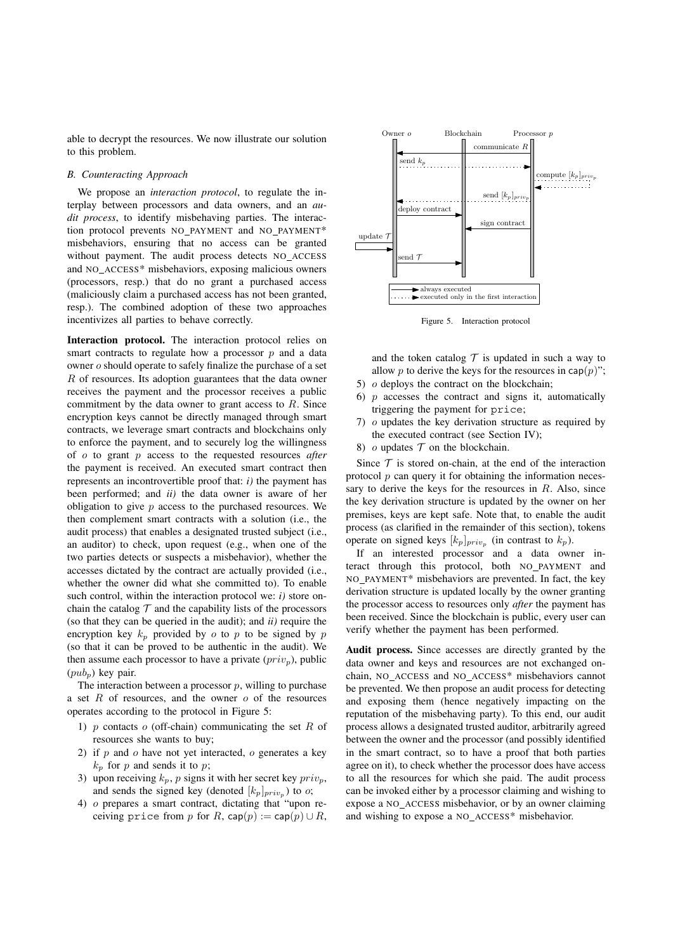able to decrypt the resources. We now illustrate our solution to this problem.

## *B. Counteracting Approach*

We propose an *interaction protocol*, to regulate the interplay between processors and data owners, and an *audit process*, to identify misbehaving parties. The interaction protocol prevents NO PAYMENT and NO PAYMENT\* misbehaviors, ensuring that no access can be granted without payment. The audit process detects NO ACCESS and NO ACCESS\* misbehaviors, exposing malicious owners (processors, resp.) that do no grant a purchased access (maliciously claim a purchased access has not been granted, resp.). The combined adoption of these two approaches incentivizes all parties to behave correctly.

**Interaction protocol.** The interaction protocol relies on smart contracts to regulate how a processor  $p$  and a data owner  $o$  should operate to safely finalize the purchase of a set  $R$  of resources. Its adoption guarantees that the data owner receives the payment and the processor receives a public commitment by the data owner to grant access to  $R$ . Since encryption keys cannot be directly managed through smart contracts, we leverage smart contracts and blockchains only to enforce the payment, and to securely log the willingness of *o* to grant *p* access to the requested resources *after* the payment is received. An executed smart contract then represents an incontrovertible proof that: *i)* the payment has been performed; and *ii)* the data owner is aware of her obligation to give  $p$  access to the purchased resources. We then complement smart contracts with a solution (i.e., the audit process) that enables a designated trusted subject (i.e., an auditor) to check, upon request (e.g., when one of the two parties detects or suspects a misbehavior), whether the accesses dictated by the contract are actually provided (i.e., whether the owner did what she committed to). To enable such control, within the interaction protocol we: *i)* store onchain the catalog  $\mathcal T$  and the capability lists of the processors (so that they can be queried in the audit); and *ii)* require the encryption key  $k_p$  provided by  $o$  to  $p$  to be signed by  $p$ (so that it can be proved to be authentic in the audit). We then assume each processor to have a private  $(priv<sub>p</sub>)$ , public  $(pub_n)$  key pair.

The interaction between a processor  $p$ , willing to purchase a set  $R$  of resources, and the owner  $o$  of the resources operates according to the protocol in Figure 5:

- 1) p contacts  $o$  (off-chain) communicating the set R of resources she wants to buy;
- 2) if  $p$  and  $o$  have not yet interacted,  $o$  generates a key  $k_p$  for  $p$  and sends it to  $p$ ;
- 3) upon receiving  $k_p$ , p signs it with her secret key  $priv_p$ , and sends the signed key (denoted  $[k_p]_{priv_p}$ ) to  $o$ ;
- 4)  $o$  prepares a smart contract, dictating that "upon receiving price from p for R, cap(p) := cap(p)  $\cup$  R,



Figure 5. Interaction protocol

and the token catalog  $\mathcal T$  is updated in such a way to allow p to derive the keys for the resources in cap( $p$ )"; 5)  $\sigma$  deploys the contract on the blockchain;

- 6)  $\bar{p}$  accesses the contract and signs it, automatically triggering the payment for price;
- 7)  $\sigma$  updates the key derivation structure as required by the executed contract (see Section IV);
- 8)  $\sigma$  updates  $\mathcal T$  on the blockchain.

Since  $T$  is stored on-chain, at the end of the interaction protocol  $p$  can query it for obtaining the information necessary to derive the keys for the resources in  $R$ . Also, since the key derivation structure is updated by the owner on her premises, keys are kept safe. Note that, to enable the audit process (as clarified in the remainder of this section), tokens operate on signed keys  $[k_p]_{priv_p}$  (in contrast to  $k_p$ ).

If an interested processor and a data owner interact through this protocol, both NO PAYMENT and NO PAYMENT\* misbehaviors are prevented. In fact, the key derivation structure is updated locally by the owner granting the processor access to resources only *after* the payment has been received. Since the blockchain is public, every user can verify whether the payment has been performed.

**Audit process.** Since accesses are directly granted by the data owner and keys and resources are not exchanged onchain, NO ACCESS and NO ACCESS\* misbehaviors cannot be prevented. We then propose an audit process for detecting and exposing them (hence negatively impacting on the reputation of the misbehaving party). To this end, our audit process allows a designated trusted auditor, arbitrarily agreed between the owner and the processor (and possibly identified in the smart contract, so to have a proof that both parties agree on it), to check whether the processor does have access to all the resources for which she paid. The audit process can be invoked either by a processor claiming and wishing to expose a NO ACCESS misbehavior, or by an owner claiming and wishing to expose a NO ACCESS\* misbehavior.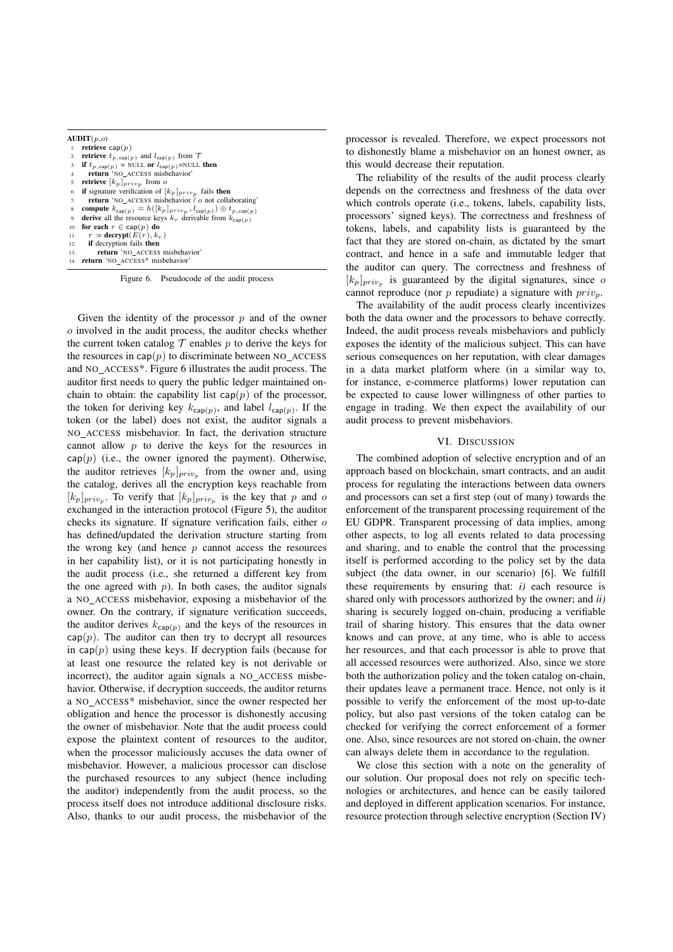| AUDIT(p,o) |                                                                                               |
|------------|-----------------------------------------------------------------------------------------------|
| 1:         | retrieve cap $(p)$                                                                            |
| 2:         | <b>retrieve</b> $t_{p,\text{cap}(p)}$ and $l_{\text{cap}(p)}$ from $\mathcal{T}$              |
| 3:         | if $t_{p,\text{cap}(p)}$ = NULL or $l_{\text{cap}(p)}$ =NULL then                             |
| 4:         | return 'NO ACCESS misbehavior'                                                                |
| 5:         | <b>retrieve</b> $[k_p]_{priv_p}$ from o                                                       |
| 6:         | <b>if</b> signature verification of $[k_p]_{priv_p}$ fails <b>then</b>                        |
| 7:         | <b>return</b> 'NO ACCESS misbehavior / o not collaborating'                                   |
| 8:         | compute $k_{\text{cap}(p)} = h([k_p]_{priv_p}, l_{\text{cap}(p)}) \oplus t_{p,\text{cap}(p)}$ |
| 9:         | derive all the resource keys $k_r$ derivable from $k_{cap(p)}$                                |
| 10:        | for each $r \in \text{cap}(p)$ do                                                             |
| 11:        | $r := \text{decrypt}(E(r), k_r)$                                                              |
| 12:        | if decryption fails then                                                                      |
| 13:        | return 'NO_ACCESS misbehavior'                                                                |
| 14:        | return 'NO ACCESS* misbehavior'                                                               |

Figure 6. Pseudocode of the audit process

Given the identity of the processor  $p$  and of the owner  $o$  involved in the audit process, the auditor checks whether the current token catalog  $\mathcal T$  enables  $p$  to derive the keys for the resources in  $cap(p)$  to discriminate between NO\_ACCESS and NO ACCESS\*. Figure 6 illustrates the audit process. The auditor first needs to query the public ledger maintained onchain to obtain: the capability list  $cap(p)$  of the processor, the token for deriving key  $k_{cap(p)}$ , and label  $l_{cap(p)}$ . If the token (or the label) does not exist, the auditor signals a NO ACCESS misbehavior. In fact, the derivation structure cannot allow  $p$  to derive the keys for the resources in  $cap(p)$  (i.e., the owner ignored the payment). Otherwise, the auditor retrieves  $[k_p]_{priv_p}$  from the owner and, using the catalog, derives all the encryption keys reachable from  $[k_p]_{priv_n}$ . To verify that  $[k_p]_{priv_n}$  is the key that p and o exchanged in the interaction protocol (Figure 5), the auditor checks its signature. If signature verification fails, either  $\sigma$ has defined/updated the derivation structure starting from the wrong key (and hence  $p$  cannot access the resources in her capability list), or it is not participating honestly in the audit process (i.e., she returned a different key from the one agreed with  $p$ ). In both cases, the auditor signals a NO ACCESS misbehavior, exposing a misbehavior of the owner. On the contrary, if signature verification succeeds, the auditor derives  $k_{\text{cap}(p)}$  and the keys of the resources in  $cap(p)$ . The auditor can then try to decrypt all resources in cap( $p$ ) using these keys. If decryption fails (because for at least one resource the related key is not derivable or incorrect), the auditor again signals a NO ACCESS misbehavior. Otherwise, if decryption succeeds, the auditor returns a NO ACCESS\* misbehavior, since the owner respected her obligation and hence the processor is dishonestly accusing the owner of misbehavior. Note that the audit process could expose the plaintext content of resources to the auditor, when the processor maliciously accuses the data owner of misbehavior. However, a malicious processor can disclose the purchased resources to any subject (hence including the auditor) independently from the audit process, so the process itself does not introduce additional disclosure risks. Also, thanks to our audit process, the misbehavior of the processor is revealed. Therefore, we expect processors not to dishonestly blame a misbehavior on an honest owner, as this would decrease their reputation.

The reliability of the results of the audit process clearly depends on the correctness and freshness of the data over which controls operate (i.e., tokens, labels, capability lists, processors' signed keys). The correctness and freshness of tokens, labels, and capability lists is guaranteed by the fact that they are stored on-chain, as dictated by the smart contract, and hence in a safe and immutable ledger that the auditor can query. The correctness and freshness of  $[k_p]_{priv_p}$  is guaranteed by the digital signatures, since  $\sigma$ cannot reproduce (nor  $p$  repudiate) a signature with  $priv<sub>p</sub>$ .

The availability of the audit process clearly incentivizes both the data owner and the processors to behave correctly. Indeed, the audit process reveals misbehaviors and publicly exposes the identity of the malicious subject. This can have serious consequences on her reputation, with clear damages in a data market platform where (in a similar way to, for instance, e-commerce platforms) lower reputation can be expected to cause lower willingness of other parties to engage in trading. We then expect the availability of our audit process to prevent misbehaviors.

## VI. DISCUSSION

The combined adoption of selective encryption and of an approach based on blockchain, smart contracts, and an audit process for regulating the interactions between data owners and processors can set a first step (out of many) towards the enforcement of the transparent processing requirement of the EU GDPR. Transparent processing of data implies, among other aspects, to log all events related to data processing and sharing, and to enable the control that the processing itself is performed according to the policy set by the data subject (the data owner, in our scenario) [6]. We fulfill these requirements by ensuring that:  $i$ ) each resource is shared only with processors authorized by the owner; and *ii)* sharing is securely logged on-chain, producing a verifiable trail of sharing history. This ensures that the data owner knows and can prove, at any time, who is able to access her resources, and that each processor is able to prove that all accessed resources were authorized. Also, since we store both the authorization policy and the token catalog on-chain, their updates leave a permanent trace. Hence, not only is it possible to verify the enforcement of the most up-to-date policy, but also past versions of the token catalog can be checked for verifying the correct enforcement of a former one. Also, since resources are not stored on-chain, the owner can always delete them in accordance to the regulation.

We close this section with a note on the generality of our solution. Our proposal does not rely on specific technologies or architectures, and hence can be easily tailored and deployed in different application scenarios. For instance, resource protection through selective encryption (Section IV)